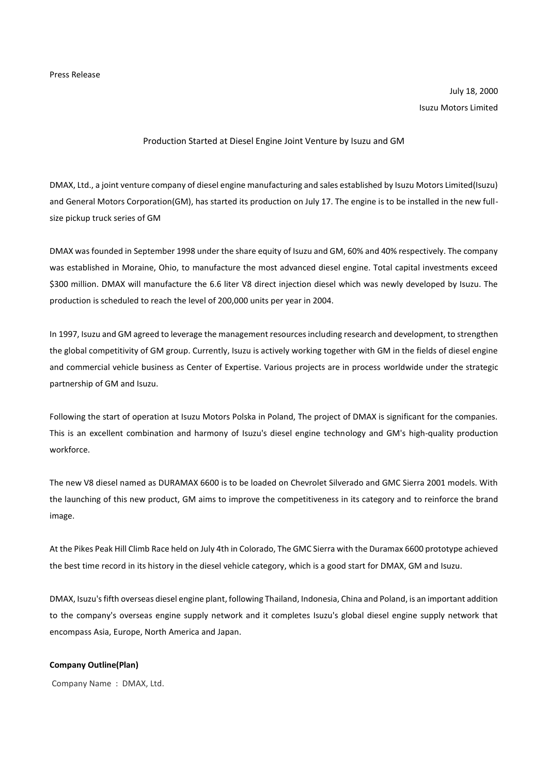Press Release

July 18, 2000 Isuzu Motors Limited

## Production Started at Diesel Engine Joint Venture by Isuzu and GM

DMAX, Ltd., a joint venture company of diesel engine manufacturing and sales established by Isuzu Motors Limited(Isuzu) and General Motors Corporation(GM), has started its production on July 17. The engine is to be installed in the new fullsize pickup truck series of GM

DMAX was founded in September 1998 under the share equity of Isuzu and GM, 60% and 40% respectively. The company was established in Moraine, Ohio, to manufacture the most advanced diesel engine. Total capital investments exceed \$300 million. DMAX will manufacture the 6.6 liter V8 direct injection diesel which was newly developed by Isuzu. The production is scheduled to reach the level of 200,000 units per year in 2004.

In 1997, Isuzu and GM agreed to leverage the management resources including research and development, to strengthen the global competitivity of GM group. Currently, Isuzu is actively working together with GM in the fields of diesel engine and commercial vehicle business as Center of Expertise. Various projects are in process worldwide under the strategic partnership of GM and Isuzu.

Following the start of operation at Isuzu Motors Polska in Poland, The project of DMAX is significant for the companies. This is an excellent combination and harmony of Isuzu's diesel engine technology and GM's high-quality production workforce.

The new V8 diesel named as DURAMAX 6600 is to be loaded on Chevrolet Silverado and GMC Sierra 2001 models. With the launching of this new product, GM aims to improve the competitiveness in its category and to reinforce the brand image.

At the Pikes Peak Hill Climb Race held on July 4th in Colorado, The GMC Sierra with the Duramax 6600 prototype achieved the best time record in its history in the diesel vehicle category, which is a good start for DMAX, GM and Isuzu.

DMAX, Isuzu's fifth overseas diesel engine plant, following Thailand, Indonesia, China and Poland, is an important addition to the company's overseas engine supply network and it completes Isuzu's global diesel engine supply network that encompass Asia, Europe, North America and Japan.

## **Company Outline(Plan)**

Company Name : DMAX, Ltd.